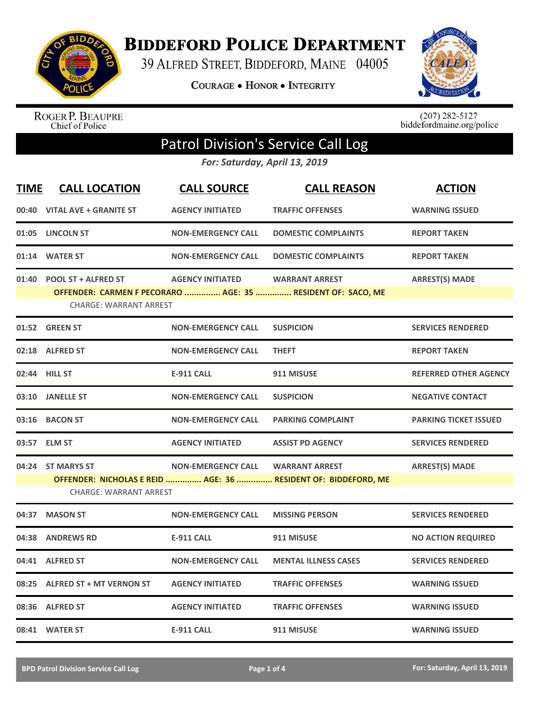

**BIDDEFORD POLICE DEPARTMENT** 

39 ALFRED STREET, BIDDEFORD, MAINE 04005

**COURAGE . HONOR . INTEGRITY** 



ROGER P. BEAUPRE<br>Chief of Police

 $(207)$  282-5127<br>biddefordmaine.org/police

## Patrol Division's Service Call Log

*For: Saturday, April 13, 2019*

| <b>TIME</b> | <b>CALL LOCATION</b>                                       | <b>CALL SOURCE</b>        | <b>CALL REASON</b>                                                                      | <b>ACTION</b>                |
|-------------|------------------------------------------------------------|---------------------------|-----------------------------------------------------------------------------------------|------------------------------|
|             | 00:40 VITAL AVE + GRANITE ST                               | <b>AGENCY INITIATED</b>   | <b>TRAFFIC OFFENSES</b>                                                                 | <b>WARNING ISSUED</b>        |
| 01:05       | <b>LINCOLN ST</b>                                          | <b>NON-EMERGENCY CALL</b> | <b>DOMESTIC COMPLAINTS</b>                                                              | <b>REPORT TAKEN</b>          |
|             | 01:14 WATER ST                                             | <b>NON-EMERGENCY CALL</b> | <b>DOMESTIC COMPLAINTS</b>                                                              | <b>REPORT TAKEN</b>          |
|             | 01:40 POOL ST + ALFRED ST<br><b>CHARGE: WARRANT ARREST</b> | <b>AGENCY INITIATED</b>   | <b>WARRANT ARREST</b><br>OFFENDER: CARMEN F PECORARO  AGE: 35  RESIDENT OF: SACO, ME    | <b>ARREST(S) MADE</b>        |
|             | 01:52 GREEN ST                                             | <b>NON-EMERGENCY CALL</b> | <b>SUSPICION</b>                                                                        | <b>SERVICES RENDERED</b>     |
|             | 02:18 ALFRED ST                                            | <b>NON-EMERGENCY CALL</b> | <b>THEFT</b>                                                                            | <b>REPORT TAKEN</b>          |
|             | 02:44 HILL ST                                              | <b>E-911 CALL</b>         | 911 MISUSE                                                                              | <b>REFERRED OTHER AGENCY</b> |
|             | 03:10 JANELLE ST                                           | <b>NON-EMERGENCY CALL</b> | <b>SUSPICION</b>                                                                        | <b>NEGATIVE CONTACT</b>      |
| 03:16       | <b>BACON ST</b>                                            | <b>NON-EMERGENCY CALL</b> | <b>PARKING COMPLAINT</b>                                                                | <b>PARKING TICKET ISSUED</b> |
|             | 03:57 ELM ST                                               | <b>AGENCY INITIATED</b>   | <b>ASSIST PD AGENCY</b>                                                                 | <b>SERVICES RENDERED</b>     |
| 04:24       | <b>ST MARYS ST</b><br><b>CHARGE: WARRANT ARREST</b>        | <b>NON-EMERGENCY CALL</b> | <b>WARRANT ARREST</b><br>OFFENDER: NICHOLAS E REID  AGE: 36  RESIDENT OF: BIDDEFORD, ME | <b>ARREST(S) MADE</b>        |
| 04:37       | <b>MASON ST</b>                                            | <b>NON-EMERGENCY CALL</b> | <b>MISSING PERSON</b>                                                                   | <b>SERVICES RENDERED</b>     |
| 04:38       | <b>ANDREWS RD</b>                                          | <b>E-911 CALL</b>         | 911 MISUSE                                                                              | <b>NO ACTION REQUIRED</b>    |
|             | 04:41 ALFRED ST                                            | <b>NON-EMERGENCY CALL</b> | <b>MENTAL ILLNESS CASES</b>                                                             | <b>SERVICES RENDERED</b>     |
| 08:25       | <b>ALFRED ST + MT VERNON ST</b>                            | <b>AGENCY INITIATED</b>   | <b>TRAFFIC OFFENSES</b>                                                                 | <b>WARNING ISSUED</b>        |
|             | 08:36 ALFRED ST                                            | <b>AGENCY INITIATED</b>   | <b>TRAFFIC OFFENSES</b>                                                                 | <b>WARNING ISSUED</b>        |
|             | 08:41 WATER ST                                             | <b>E-911 CALL</b>         | 911 MISUSE                                                                              | <b>WARNING ISSUED</b>        |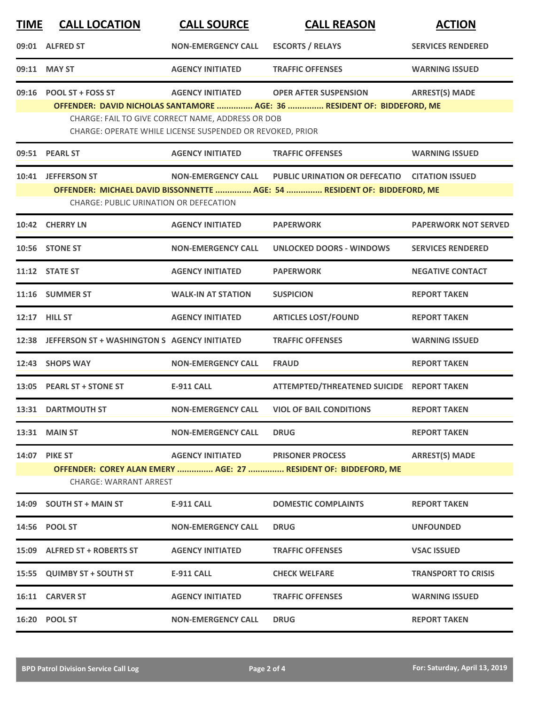| <b>TIME</b> | <b>CALL LOCATION</b>                                                                                               | <b>CALL SOURCE</b>                                        | <b>CALL REASON</b>                                                      | <b>ACTION</b>               |  |
|-------------|--------------------------------------------------------------------------------------------------------------------|-----------------------------------------------------------|-------------------------------------------------------------------------|-----------------------------|--|
|             | 09:01 ALFRED ST                                                                                                    | <b>NON-EMERGENCY CALL</b>                                 | <b>ESCORTS / RELAYS</b>                                                 | <b>SERVICES RENDERED</b>    |  |
|             | 09:11 MAY ST                                                                                                       | <b>AGENCY INITIATED</b>                                   | <b>TRAFFIC OFFENSES</b>                                                 | <b>WARNING ISSUED</b>       |  |
|             | 09:16 POOL ST + FOSS ST                                                                                            | <b>AGENCY INITIATED</b>                                   | <b>OPER AFTER SUSPENSION</b>                                            | <b>ARREST(S) MADE</b>       |  |
|             |                                                                                                                    | CHARGE: FAIL TO GIVE CORRECT NAME, ADDRESS OR DOB         | OFFENDER: DAVID NICHOLAS SANTAMORE  AGE: 36  RESIDENT OF: BIDDEFORD, ME |                             |  |
|             |                                                                                                                    | CHARGE: OPERATE WHILE LICENSE SUSPENDED OR REVOKED, PRIOR |                                                                         |                             |  |
|             | 09:51 PEARL ST                                                                                                     | <b>AGENCY INITIATED</b>                                   | <b>TRAFFIC OFFENSES</b>                                                 | <b>WARNING ISSUED</b>       |  |
|             | 10:41 JEFFERSON ST                                                                                                 | <b>NON-EMERGENCY CALL</b>                                 | PUBLIC URINATION OR DEFECATIO CITATION ISSUED                           |                             |  |
|             | OFFENDER: MICHAEL DAVID BISSONNETTE  AGE: 54  RESIDENT OF: BIDDEFORD, ME<br>CHARGE: PUBLIC URINATION OR DEFECATION |                                                           |                                                                         |                             |  |
|             | 10:42 CHERRY LN                                                                                                    | <b>AGENCY INITIATED</b>                                   | <b>PAPERWORK</b>                                                        | <b>PAPERWORK NOT SERVED</b> |  |
|             | 10:56 STONE ST                                                                                                     | <b>NON-EMERGENCY CALL</b>                                 | <b>UNLOCKED DOORS - WINDOWS</b>                                         | <b>SERVICES RENDERED</b>    |  |
|             | 11:12 STATE ST                                                                                                     | <b>AGENCY INITIATED</b>                                   | <b>PAPERWORK</b>                                                        | <b>NEGATIVE CONTACT</b>     |  |
|             | 11:16 SUMMER ST                                                                                                    | <b>WALK-IN AT STATION</b>                                 | <b>SUSPICION</b>                                                        | <b>REPORT TAKEN</b>         |  |
| 12:17       | <b>HILL ST</b>                                                                                                     | <b>AGENCY INITIATED</b>                                   | <b>ARTICLES LOST/FOUND</b>                                              | <b>REPORT TAKEN</b>         |  |
|             | 12:38 JEFFERSON ST + WASHINGTON S AGENCY INITIATED                                                                 |                                                           | <b>TRAFFIC OFFENSES</b>                                                 | <b>WARNING ISSUED</b>       |  |
|             | 12:43 SHOPS WAY                                                                                                    | <b>NON-EMERGENCY CALL</b>                                 | <b>FRAUD</b>                                                            | <b>REPORT TAKEN</b>         |  |
|             | 13:05 PEARL ST + STONE ST                                                                                          | <b>E-911 CALL</b>                                         | ATTEMPTED/THREATENED SUICIDE REPORT TAKEN                               |                             |  |
|             | 13:31 DARTMOUTH ST                                                                                                 | <b>NON-EMERGENCY CALL</b>                                 | <b>VIOL OF BAIL CONDITIONS</b>                                          | <b>REPORT TAKEN</b>         |  |
|             | 13:31 MAIN ST                                                                                                      | <b>NON-EMERGENCY CALL</b>                                 | <b>DRUG</b>                                                             | <b>REPORT TAKEN</b>         |  |
|             | 14:07 PIKE ST                                                                                                      | <b>AGENCY INITIATED</b>                                   | <b>PRISONER PROCESS</b>                                                 | <b>ARREST(S) MADE</b>       |  |
|             | CHARGE: WARRANT ARREST                                                                                             |                                                           | OFFENDER: COREY ALAN EMERY  AGE: 27  RESIDENT OF: BIDDEFORD, ME         |                             |  |
| 14:09       | <b>SOUTH ST + MAIN ST</b>                                                                                          | <b>E-911 CALL</b>                                         | <b>DOMESTIC COMPLAINTS</b>                                              | <b>REPORT TAKEN</b>         |  |
|             | 14:56 POOL ST                                                                                                      | <b>NON-EMERGENCY CALL</b>                                 | <b>DRUG</b>                                                             | <b>UNFOUNDED</b>            |  |
|             | 15:09 ALFRED ST + ROBERTS ST                                                                                       | <b>AGENCY INITIATED</b>                                   | <b>TRAFFIC OFFENSES</b>                                                 | <b>VSAC ISSUED</b>          |  |
|             | 15:55 QUIMBY ST + SOUTH ST                                                                                         | <b>E-911 CALL</b>                                         | <b>CHECK WELFARE</b>                                                    | <b>TRANSPORT TO CRISIS</b>  |  |
|             | 16:11 CARVER ST                                                                                                    | <b>AGENCY INITIATED</b>                                   | <b>TRAFFIC OFFENSES</b>                                                 | <b>WARNING ISSUED</b>       |  |
|             | 16:20 POOL ST                                                                                                      | <b>NON-EMERGENCY CALL</b>                                 | <b>DRUG</b>                                                             | <b>REPORT TAKEN</b>         |  |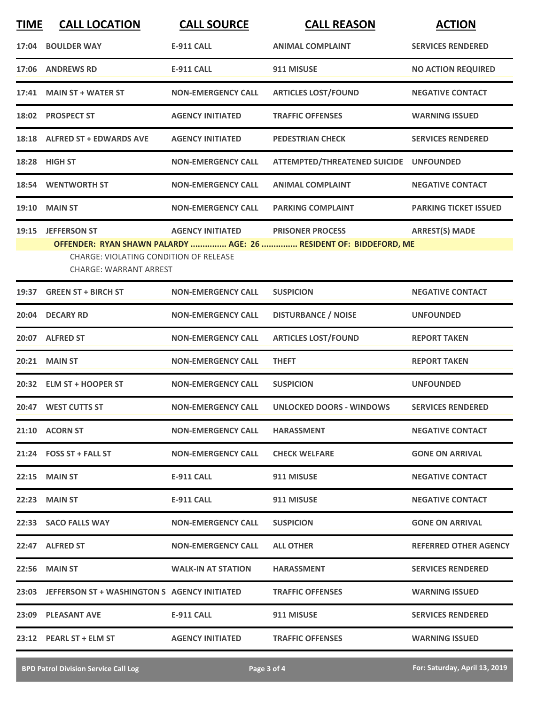| <b>TIME</b> | <b>CALL LOCATION</b>                                                    | <b>CALL SOURCE</b>        | <b>CALL REASON</b>                                                | <b>ACTION</b>                |
|-------------|-------------------------------------------------------------------------|---------------------------|-------------------------------------------------------------------|------------------------------|
|             | 17:04 BOULDER WAY                                                       | <b>E-911 CALL</b>         | <b>ANIMAL COMPLAINT</b>                                           | <b>SERVICES RENDERED</b>     |
|             | 17:06 ANDREWS RD                                                        | <b>E-911 CALL</b>         | 911 MISUSE                                                        | <b>NO ACTION REQUIRED</b>    |
|             | 17:41 MAIN ST + WATER ST                                                | <b>NON-EMERGENCY CALL</b> | <b>ARTICLES LOST/FOUND</b>                                        | <b>NEGATIVE CONTACT</b>      |
|             | 18:02 PROSPECT ST                                                       | <b>AGENCY INITIATED</b>   | <b>TRAFFIC OFFENSES</b>                                           | <b>WARNING ISSUED</b>        |
|             | 18:18 ALFRED ST + EDWARDS AVE                                           | <b>AGENCY INITIATED</b>   | <b>PEDESTRIAN CHECK</b>                                           | <b>SERVICES RENDERED</b>     |
|             | 18:28 HIGH ST                                                           | <b>NON-EMERGENCY CALL</b> | ATTEMPTED/THREATENED SUICIDE UNFOUNDED                            |                              |
|             | 18:54 WENTWORTH ST                                                      | <b>NON-EMERGENCY CALL</b> | <b>ANIMAL COMPLAINT</b>                                           | <b>NEGATIVE CONTACT</b>      |
|             | <b>19:10 MAIN ST</b>                                                    | <b>NON-EMERGENCY CALL</b> | <b>PARKING COMPLAINT</b>                                          | <b>PARKING TICKET ISSUED</b> |
|             | 19:15 JEFFERSON ST                                                      | <b>AGENCY INITIATED</b>   | <b>PRISONER PROCESS</b>                                           | <b>ARREST(S) MADE</b>        |
|             | CHARGE: VIOLATING CONDITION OF RELEASE<br><b>CHARGE: WARRANT ARREST</b> |                           | OFFENDER: RYAN SHAWN PALARDY  AGE: 26  RESIDENT OF: BIDDEFORD, ME |                              |
|             | 19:37 GREEN ST + BIRCH ST                                               | <b>NON-EMERGENCY CALL</b> | <b>SUSPICION</b>                                                  | <b>NEGATIVE CONTACT</b>      |
|             | 20:04 DECARY RD                                                         | <b>NON-EMERGENCY CALL</b> | <b>DISTURBANCE / NOISE</b>                                        | <b>UNFOUNDED</b>             |
|             | 20:07 ALFRED ST                                                         | <b>NON-EMERGENCY CALL</b> | <b>ARTICLES LOST/FOUND</b>                                        | <b>REPORT TAKEN</b>          |
|             | <b>20:21 MAIN ST</b>                                                    | <b>NON-EMERGENCY CALL</b> | <b>THEFT</b>                                                      | <b>REPORT TAKEN</b>          |
|             | 20:32 ELM ST + HOOPER ST                                                | <b>NON-EMERGENCY CALL</b> | <b>SUSPICION</b>                                                  | <b>UNFOUNDED</b>             |
|             | 20:47 WEST CUTTS ST                                                     | <b>NON-EMERGENCY CALL</b> | <b>UNLOCKED DOORS - WINDOWS</b>                                   | <b>SERVICES RENDERED</b>     |
|             | 21:10 ACORN ST                                                          | <b>NON-EMERGENCY CALL</b> | <b>HARASSMENT</b>                                                 | <b>NEGATIVE CONTACT</b>      |
|             | $21:24$ FOSS ST + FALL ST                                               | <b>NON-EMERGENCY CALL</b> | <b>CHECK WELFARE</b>                                              | <b>GONE ON ARRIVAL</b>       |
|             | <b>22:15 MAIN ST</b>                                                    | E-911 CALL                | 911 MISUSE                                                        | <b>NEGATIVE CONTACT</b>      |
|             | <b>22:23 MAIN ST</b>                                                    | E-911 CALL                | 911 MISUSE                                                        | <b>NEGATIVE CONTACT</b>      |
|             | 22:33 SACO FALLS WAY                                                    | <b>NON-EMERGENCY CALL</b> | <b>SUSPICION</b>                                                  | <b>GONE ON ARRIVAL</b>       |
|             | 22:47 ALFRED ST                                                         | <b>NON-EMERGENCY CALL</b> | <b>ALL OTHER</b>                                                  | <b>REFERRED OTHER AGENCY</b> |
|             | 22:56 MAIN ST                                                           | <b>WALK-IN AT STATION</b> | <b>HARASSMENT</b>                                                 | <b>SERVICES RENDERED</b>     |
|             | 23:03 JEFFERSON ST + WASHINGTON S AGENCY INITIATED                      |                           | <b>TRAFFIC OFFENSES</b>                                           | <b>WARNING ISSUED</b>        |
|             | 23:09 PLEASANT AVE                                                      | E-911 CALL                | 911 MISUSE                                                        | <b>SERVICES RENDERED</b>     |
|             |                                                                         |                           | <b>TRAFFIC OFFENSES</b>                                           | <b>WARNING ISSUED</b>        |